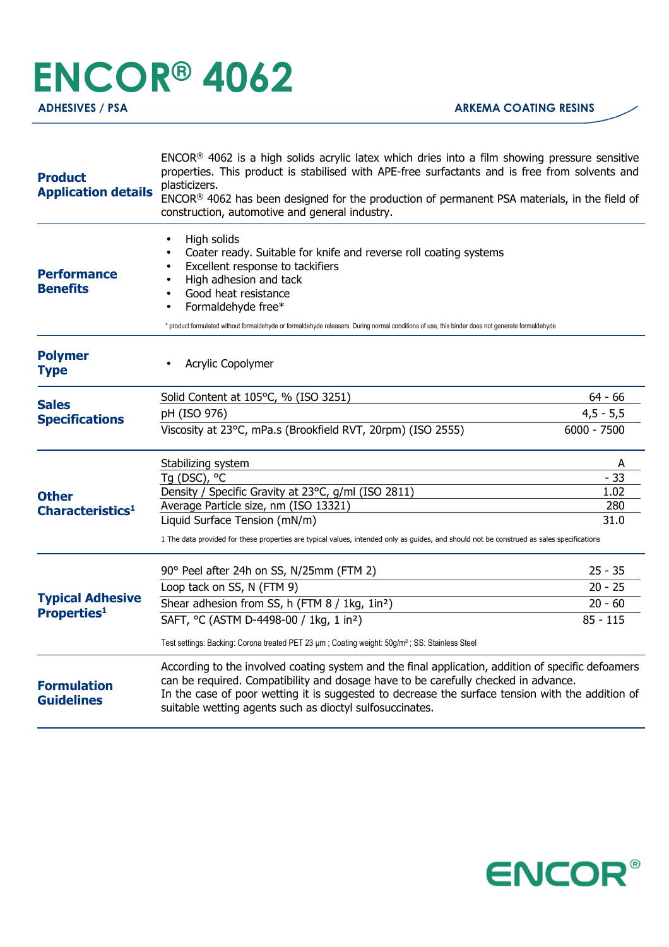## **ENCOR® 4062**

| <b>Product</b><br><b>Application details</b>                                                  | ENCOR <sup>®</sup> 4062 is a high solids acrylic latex which dries into a film showing pressure sensitive<br>properties. This product is stabilised with APE-free surfactants and is free from solvents and<br>plasticizers.<br>ENCOR® 4062 has been designed for the production of permanent PSA materials, in the field of<br>construction, automotive and general industry. |               |  |
|-----------------------------------------------------------------------------------------------|--------------------------------------------------------------------------------------------------------------------------------------------------------------------------------------------------------------------------------------------------------------------------------------------------------------------------------------------------------------------------------|---------------|--|
| <b>Performance</b><br><b>Benefits</b>                                                         | High solids<br>$\bullet$<br>Coater ready. Suitable for knife and reverse roll coating systems<br>Excellent response to tackifiers<br>High adhesion and tack<br>Good heat resistance<br>Formaldehyde free*<br>$\bullet$<br>* product formulated without formaldehyde or formaldehyde releasers. During normal conditions of use, this binder does not generate formaldehyde     |               |  |
| <b>Polymer</b><br><b>Type</b>                                                                 | Acrylic Copolymer                                                                                                                                                                                                                                                                                                                                                              |               |  |
|                                                                                               | Solid Content at 105°C, % (ISO 3251)                                                                                                                                                                                                                                                                                                                                           | $64 - 66$     |  |
| <b>Sales</b>                                                                                  | pH (ISO 976)                                                                                                                                                                                                                                                                                                                                                                   | $4,5 - 5,5$   |  |
| <b>Specifications</b>                                                                         | Viscosity at 23°C, mPa.s (Brookfield RVT, 20rpm) (ISO 2555)                                                                                                                                                                                                                                                                                                                    | $6000 - 7500$ |  |
|                                                                                               | Stabilizing system                                                                                                                                                                                                                                                                                                                                                             | A             |  |
|                                                                                               | Tg (DSC), °C                                                                                                                                                                                                                                                                                                                                                                   | $-33$         |  |
| <b>Other</b><br>Characteristics <sup>1</sup><br><b>Typical Adhesive</b><br><b>Properties1</b> | Density / Specific Gravity at 23°C, g/ml (ISO 2811)                                                                                                                                                                                                                                                                                                                            | 1.02          |  |
|                                                                                               | Average Particle size, nm (ISO 13321)                                                                                                                                                                                                                                                                                                                                          | 280           |  |
|                                                                                               | Liquid Surface Tension (mN/m)                                                                                                                                                                                                                                                                                                                                                  | 31.0          |  |
|                                                                                               | 1 The data provided for these properties are typical values, intended only as guides, and should not be construed as sales specifications                                                                                                                                                                                                                                      |               |  |
|                                                                                               | 90° Peel after 24h on SS, N/25mm (FTM 2)                                                                                                                                                                                                                                                                                                                                       | $25 - 35$     |  |
|                                                                                               | Loop tack on SS, N (FTM 9)                                                                                                                                                                                                                                                                                                                                                     | $20 - 25$     |  |
|                                                                                               | Shear adhesion from SS, h (FTM 8 / 1kg, 1in <sup>2</sup> )                                                                                                                                                                                                                                                                                                                     | $20 - 60$     |  |
|                                                                                               | SAFT, °C (ASTM D-4498-00 / 1kg, 1 in <sup>2</sup> )                                                                                                                                                                                                                                                                                                                            | $85 - 115$    |  |
|                                                                                               | Test settings: Backing: Corona treated PET 23 µm; Coating weight: 50g/m <sup>2</sup> ; SS: Stainless Steel                                                                                                                                                                                                                                                                     |               |  |
| <b>Formulation</b><br><b>Guidelines</b>                                                       | According to the involved coating system and the final application, addition of specific defoamers<br>can be required. Compatibility and dosage have to be carefully checked in advance.<br>In the case of poor wetting it is suggested to decrease the surface tension with the addition of<br>suitable wetting agents such as dioctyl sulfosuccinates.                       |               |  |